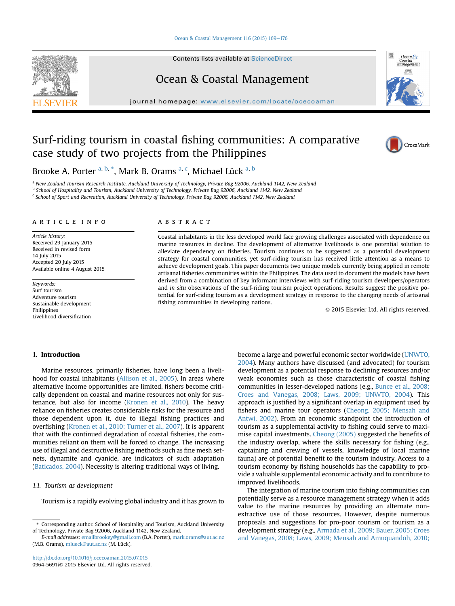#### Ocean & Coastal Management  $116$  (2015)  $169-176$  $169-176$

Contents lists available at ScienceDirect

# Ocean & Coastal Management

journal homepage: [www.elsevier.com/locate/ocecoaman](http://www.elsevier.com/locate/ocecoaman)

# Surf-riding tourism in coastal fishing communities: A comparative case study of two projects from the Philippines



Brooke A. Porter <sup>a, b,</sup> \*, Mark B. Orams <sup>a, c</sup>, Michael Lück <sup>a, b</sup>

a New Zealand Tourism Research Institute, Auckland University of Technology, Private Bag 92006, Auckland 1142, New Zealand <sup>b</sup> School of Hospitality and Tourism, Auckland University of Technology, Private Bag 92006, Auckland 1142, New Zealand <sup>c</sup> School of Sport and Recreation, Auckland University of Technology, Private Bag 92006, Auckland 1142, New Zealand

#### article info

Article history: Received 29 January 2015 Received in revised form 14 July 2015 Accepted 20 July 2015 Available online 4 August 2015

Keywords: Surf tourism Adventure tourism Sustainable development Philippines Livelihood diversification

#### **ABSTRACT**

Coastal inhabitants in the less developed world face growing challenges associated with dependence on marine resources in decline. The development of alternative livelihoods is one potential solution to alleviate dependency on fisheries. Tourism continues to be suggested as a potential development strategy for coastal communities, yet surf-riding tourism has received little attention as a means to achieve development goals. This paper documents two unique models currently being applied in remote artisanal fisheries communities within the Philippines. The data used to document the models have been derived from a combination of key informant interviews with surf-riding tourism developers/operators and in situ observations of the surf-riding tourism project operations. Results suggest the positive potential for surf-riding tourism as a development strategy in response to the changing needs of artisanal fishing communities in developing nations.

© 2015 Elsevier Ltd. All rights reserved.

# 1. Introduction

Marine resources, primarily fisheries, have long been a livelihood for coastal inhabitants (Allison et al., 2005). In areas where alternative income opportunities are limited, fishers become critically dependent on coastal and marine resources not only for sustenance, but also for income (Kronen et al., 2010). The heavy reliance on fisheries creates considerable risks for the resource and those dependent upon it, due to illegal fishing practices and overfishing (Kronen et al., 2010; Turner et al., 2007). It is apparent that with the continued degradation of coastal fisheries, the communities reliant on them will be forced to change. The increasing use of illegal and destructive fishing methods such as fine mesh setnets, dynamite and cyanide, are indicators of such adaptation (Baticados, 2004). Necessity is altering traditional ways of living.

# 1.1. Tourism as development

Tourism is a rapidly evolving global industry and it has grown to

become a large and powerful economic sector worldwide (UNWTO, 2004). Many authors have discussed (and advocated) for tourism development as a potential response to declining resources and/or weak economies such as those characteristic of coastal fishing communities in lesser-developed nations (e.g., Bunce et al., 2008; Croes and Vanegas, 2008; Laws, 2009; UNWTO, 2004). This approach is justified by a significant overlap in equipment used by fishers and marine tour operators (Cheong, 2005; Mensah and Antwi, 2002). From an economic standpoint the introduction of tourism as a supplemental activity to fishing could serve to maximise capital investments. Cheong (2005) suggested the benefits of the industry overlap, where the skills necessary for fishing (e.g., captaining and crewing of vessels, knowledge of local marine fauna) are of potential benefit to the tourism industry. Access to a tourism economy by fishing households has the capability to provide a valuable supplemental economic activity and to contribute to improved livelihoods.

The integration of marine tourism into fishing communities can potentially serve as a resource management strategy when it adds value to the marine resources by providing an alternate nonextractive use of those resources. However, despite numerous proposals and suggestions for pro-poor tourism or tourism as a development strategy (e.g., Armada et al., 2009; Bauer, 2005; Croes and Vanegas, 2008; Laws, 2009; Mensah and Amuquandoh, 2010;

<sup>\*</sup> Corresponding author. School of Hospitality and Tourism, Auckland University of Technology, Private Bag 92006, Auckland 1142, New Zealand.

E-mail addresses: [emailbrookey@gmail.com](mailto:emailbrookey@gmail.com) (B.A. Porter), [mark.orams@aut.ac.nz](mailto:mark.orams@aut.ac.nz) (M.B. Orams), [mlueck@aut.ac.nz](mailto:mlueck@aut.ac.nz) (M. Lück).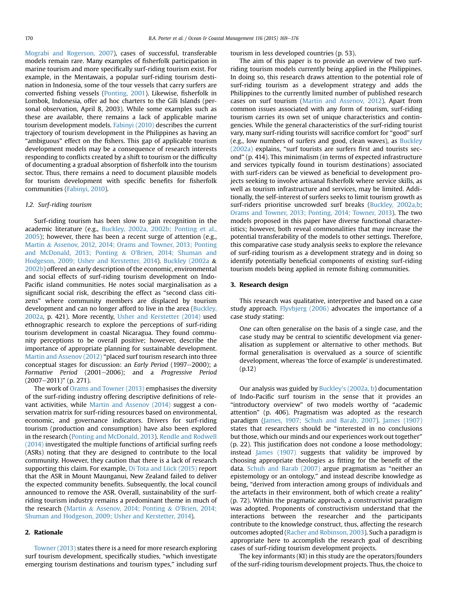Mograbi and Rogerson, 2007), cases of successful, transferable models remain rare. Many examples of fisherfolk participation in marine tourism and more specifically surf-riding tourism exist. For example, in the Mentawais, a popular surf-riding tourism destination in Indonesia, some of the tour vessels that carry surfers are converted fishing vessels (Ponting, 2001). Likewise, fisherfolk in Lombok, Indonesia, offer ad hoc charters to the Gili Islands (personal observation, April 8, 2003). While some examples such as these are available, there remains a lack of applicable marine tourism development models. Fabinyi (2010) describes the current trajectory of tourism development in the Philippines as having an "ambiguous" effect on the fishers. This gap of applicable tourism development models may be a consequence of research interests responding to conflicts created by a shift to tourism or the difficulty of documenting a gradual absorption of fisherfolk into the tourism sector. Thus, there remains a need to document plausible models for tourism development with specific benefits for fisherfolk communities (Fabinyi, 2010).

#### 1.2. Surf-riding tourism

Surf-riding tourism has been slow to gain recognition in the academic literature (e.g., Buckley, 2002a, 2002b; Ponting et al., 2005); however, there has been a recent surge of attention (e.g., Martin & Assenov, 2012, 2014; Orams and Towner, 2013; Ponting and McDonald, 2013; Ponting & O'Brien, 2014; Shuman and Hodgeson, 2009; Usher and Kerstetter, 2014). Buckley (2002a & 2002b) offered an early description of the economic, environmental and social effects of surf-riding tourism development on Indo-Pacific island communities. He notes social marginalisation as a significant social risk, describing the effect as "second class citizens" where community members are displaced by tourism development and can no longer afford to live in the area (Buckley, 2002a, p. 421). More recently, Usher and Kerstetter (2014) used ethnographic research to explore the perceptions of surf-riding tourism development in coastal Nicaragua. They found community perceptions to be overall positive; however, describe the importance of appropriate planning for sustainable development. Martin and Assenov (2012) "placed surf tourism research into three conceptual stages for discussion: an Early Period  $(1997-2000)$ ; a Formative Period (2001–2006); and a Progressive Period (2007-2011)" (p. 271).

The work of Orams and Towner (2013) emphasises the diversity of the surf-riding industry offering descriptive definitions of relevant activities, while Martin and Assenov (2014) suggest a conservation matrix for surf-riding resources based on environmental, economic, and governance indicators. Drivers for surf-riding tourism (production and consumption) have also been explored in the research (Ponting and McDonald, 2013). Rendle and Rodwell (2014) investigated the multiple functions of artificial surfing reefs (ASRs) noting that they are designed to contribute to the local community. However, they caution that there is a lack of research supporting this claim. For example, Di Tota and Lück (2015) report that the ASR in Mount Maunganui, New Zealand failed to deliver the expected community benefits. Subsequently, the local council announced to remove the ASR. Overall, sustainability of the surfriding tourism industry remains a predominant theme in much of the research (Martin & Assenov, 2014; Ponting & O'Brien, 2014; Shuman and Hodgeson, 2009; Usher and Kerstetter, 2014).

## 2. Rationale

Towner (2013) states there is a need for more research exploring surf tourism development, specifically studies, "which investigate emerging tourism destinations and tourism types," including surf tourism in less developed countries (p. 53).

The aim of this paper is to provide an overview of two surfriding tourism models currently being applied in the Philippines. In doing so, this research draws attention to the potential role of surf-riding tourism as a development strategy and adds the Philippines to the currently limited number of published research cases on surf tourism (Martin and Assenov, 2012). Apart from common issues associated with any form of tourism, surf-riding tourism carries its own set of unique characteristics and contingencies. While the general characteristics of the surf-riding tourist vary, many surf-riding tourists will sacrifice comfort for "good" surf (e.g., low numbers of surfers and good, clean waves), as Buckley (2002a) explains, "surf tourists are surfers first and tourists second" (p. 414). This minimalism (in terms of expected infrastructure and services typically found in tourism destinations) associated with surf-riders can be viewed as beneficial to development projects seeking to involve artisanal fisherfolk where service skills, as well as tourism infrastructure and services, may be limited. Additionally, the self-interest of surfers seeks to limit tourism growth as surf-riders prioritise uncrowded surf breaks (Buckley, 2002a,b; Orams and Towner, 2013; Ponting, 2014; Towner, 2013). The two models proposed in this paper have diverse functional characteristics; however, both reveal commonalities that may increase the potential transferability of the models to other settings. Therefore, this comparative case study analysis seeks to explore the relevance of surf-riding tourism as a development strategy and in doing so identify potentially beneficial components of existing surf-riding tourism models being applied in remote fishing communities.

## 3. Research design

This research was qualitative, interpretive and based on a case study approach. Flyvbjerg (2006) advocates the importance of a case study stating:

One can often generalise on the basis of a single case, and the case study may be central to scientific development via generalisation as supplement or alternative to other methods. But formal generalisation is overvalued as a source of scientific development, whereas 'the force of example' is underestimated. (p.12)

Our analysis was guided by Buckley's (2002a, b) documentation of Indo-Pacific surf tourism in the sense that it provides an "introductory overview" of two models worthy of "academic attention" (p. 406). Pragmatism was adopted as the research paradigm (James, 1907; Schuh and Barab, 2007). James (1907) states that researchers should be "interested in no conclusions but those, which our minds and our experiences work out together" (p. 22). This justification does not condone a loose methodology; instead James (1907) suggests that validity be improved by choosing appropriate theologies as fitting for the benefit of the data. Schuh and Barab (2007) argue pragmatism as "neither an epistemology or an ontology," and instead describe knowledge as being, "derived from interaction among groups of individuals and the artefacts in their environment, both of which create a reality" (p. 72). Within the pragmatic approach, a constructivist paradigm was adopted. Proponents of constructivism understand that the interactions between the researcher and the participants contribute to the knowledge construct, thus, affecting the research outcomes adopted (Racher and Robinson, 2003). Such a paradigm is appropriate here to accomplish the research goal of describing cases of surf-riding tourism development projects.

The key informants (KI) in this study are the operators/founders of the surf-riding tourism development projects. Thus, the choice to